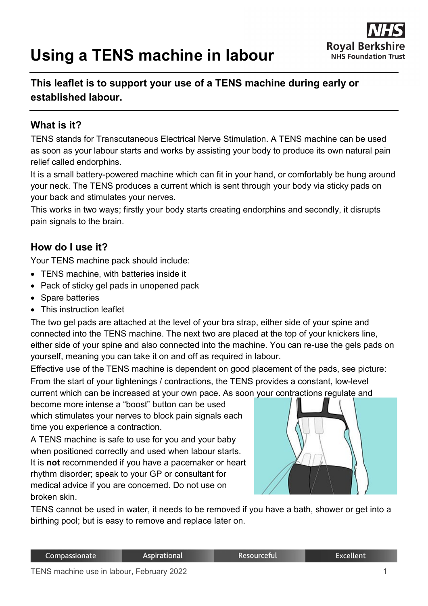# **Using a TENS machine in labour**



# **This leaflet is to support your use of a TENS machine during early or established labour.**

#### **What is it?**

TENS stands for Transcutaneous Electrical Nerve Stimulation. A TENS machine can be used as soon as your labour starts and works by assisting your body to produce its own natural pain relief called endorphins.

It is a small battery-powered machine which can fit in your hand, or comfortably be hung around your neck. The TENS produces a current which is sent through your body via sticky pads on your back and stimulates your nerves.

This works in two ways; firstly your body starts creating endorphins and secondly, it disrupts pain signals to the brain.

#### **How do I use it?**

Your TENS machine pack should include:

- TENS machine, with batteries inside it
- Pack of sticky gel pads in unopened pack
- Spare batteries
- This instruction leaflet

The two gel pads are attached at the level of your bra strap, either side of your spine and connected into the TENS machine. The next two are placed at the top of your knickers line, either side of your spine and also connected into the machine. You can re-use the gels pads on yourself, meaning you can take it on and off as required in labour.

Effective use of the TENS machine is dependent on good placement of the pads, see picture: From the start of your tightenings / contractions, the TENS provides a constant, low-level current which can be increased at your own pace. As soon your contractions regulate and

become more intense a "boost" button can be used which stimulates your nerves to block pain signals each time you experience a contraction.

A TENS machine is safe to use for you and your baby when positioned correctly and used when labour starts. It is **not** recommended if you have a pacemaker or heart rhythm disorder; speak to your GP or consultant for medical advice if you are concerned. Do not use on broken skin.



TENS cannot be used in water, it needs to be removed if you have a bath, shower or get into a birthing pool; but is easy to remove and replace later on.

Resourceful